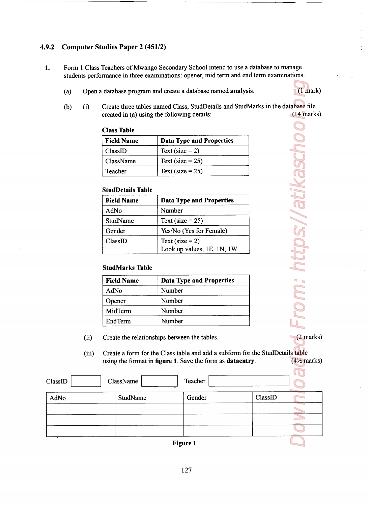## 4.9.2 Computer Studies Paper 2 (451/2)

- 1. Form 1 Class Teachers of Mwango Secondary School intend to use a database to manage students performance in three examinations: opener, mid term and end term examinations.
	- (a) Open a database program and create a database named analysis (1 mark)

<u>a sa mga basang na mga sangang ng pagbagay ng mga sangang ng pagbagong ng pagbagong ng pagbagong ng pagbagong </u>

## Class Table

| udies Paper 2 (451/2)                       |                                                                                                               |
|---------------------------------------------|---------------------------------------------------------------------------------------------------------------|
|                                             | Teachers of Mwango Secondary School intend to use a<br>rmance in three examinations: opener, mid term and en- |
|                                             | database program and create a database named analysi                                                          |
| created in (a) using the following details: | Create three tables named Class, StudDetails and StudN                                                        |
| <b>Class Table</b>                          |                                                                                                               |
|                                             |                                                                                                               |
| <b>Field Name</b>                           | <b>Data Type and Properties</b>                                                                               |
| ClassID                                     | Text (size $= 2$ )                                                                                            |
| ClassName                                   | Text (size = $25$ )                                                                                           |
| Teacher                                     | Text (size = $25$ )                                                                                           |
| <b>StudDetails Table</b>                    |                                                                                                               |
| <b>Field Name</b>                           | <b>Data Type and Properties</b>                                                                               |
| AdNo<br><b>StudName</b>                     | Number<br>Text (size = $25$ )                                                                                 |

#### StudDetails Table

| 9.2     |     |       | <b>Computer Studies Paper 2 (451/2)</b>      |                     |                                                                                                                                            |         |                        |
|---------|-----|-------|----------------------------------------------|---------------------|--------------------------------------------------------------------------------------------------------------------------------------------|---------|------------------------|
| l.      |     |       |                                              |                     | Form 1 Class Teachers of Mwango Secondary School intend to use a database to manage                                                        |         |                        |
|         |     |       |                                              |                     | students performance in three examinations: opener, mid term and end term examinations.                                                    |         |                        |
|         | (a) |       |                                              |                     | Open a database program and create a database named analysis.                                                                              |         | $(1$ mark)             |
|         | (b) | (i)   | created in (a) using the following details:  |                     | Create three tables named Class, StudDetails and StudMarks in the database file                                                            |         | $(14$ marks)           |
|         |     |       | <b>Class Table</b>                           |                     |                                                                                                                                            |         |                        |
|         |     |       | <b>Field Name</b>                            |                     | <b>Data Type and Properties</b>                                                                                                            |         |                        |
|         |     |       | ClassID                                      | Text (size $= 2$ )  |                                                                                                                                            |         |                        |
|         |     |       | ClassName                                    | Text (size $= 25$ ) |                                                                                                                                            |         |                        |
|         |     |       | Teacher                                      | Text (size = $25$ ) |                                                                                                                                            |         |                        |
|         |     |       | <b>StudDetails Table</b>                     |                     |                                                                                                                                            |         | https://atikascho      |
|         |     |       | <b>Field Name</b>                            |                     | <b>Data Type and Properties</b>                                                                                                            |         |                        |
|         |     |       | AdNo                                         | Number              |                                                                                                                                            |         |                        |
|         |     |       | StudName                                     | Text (size = $25$ ) |                                                                                                                                            |         |                        |
|         |     |       | Gender                                       |                     | Yes/No (Yes for Female)                                                                                                                    |         |                        |
|         |     |       | ClassID                                      | Text (size $= 2$ )  |                                                                                                                                            |         |                        |
|         |     |       |                                              |                     | Look up values, 1E, 1N, 1W                                                                                                                 |         |                        |
|         |     |       | <b>StudMarks Table</b>                       |                     |                                                                                                                                            |         |                        |
|         |     |       | <b>Field Name</b>                            |                     | <b>Data Type and Properties</b>                                                                                                            |         |                        |
|         |     |       | AdNo                                         | Number              |                                                                                                                                            |         |                        |
|         |     |       | Opener                                       | Number              |                                                                                                                                            |         |                        |
|         |     |       | MidTerm                                      | Number              |                                                                                                                                            |         | <b>Tron</b>            |
|         |     |       | EndTerm                                      | Number              |                                                                                                                                            |         |                        |
|         |     | (ii)  | Create the relationships between the tables. |                     |                                                                                                                                            |         | $(2$ marks)            |
|         |     | (iii) |                                              |                     | Create a form for the Class table and add a subform for the StudDetails table<br>using the format in figure 1. Save the form as dataentry. |         | $(4\frac{1}{2}$ marks) |
| ClassID |     |       | ClassName                                    |                     | Teacher                                                                                                                                    |         |                        |
|         |     |       |                                              |                     |                                                                                                                                            |         |                        |
| AdNo    |     |       | StudName                                     |                     | Gender                                                                                                                                     | ClassID |                        |

#### StudMarks Table

| <b>Field Name</b> | <b>Data Type and Properties</b> |
|-------------------|---------------------------------|
| AdNo              | Number                          |
| Opener            | Number                          |
| MidTerm           | Number                          |
| EndTerm           | Number                          |

- (ii) Create the relationships between the tables. (2 marks)
- (iii) Create a form for the Class table and add a subform for the SrudDetails table using the format in figure 1. Save the form as dataentry.  $(4\frac{1}{2}$  marks)

| 9.2     |     |       | <b>Computer Studies Paper 2 (451/2)</b>      |        |                                                                                                                                            |         |                        |
|---------|-----|-------|----------------------------------------------|--------|--------------------------------------------------------------------------------------------------------------------------------------------|---------|------------------------|
| 1.      |     |       |                                              |        | Form 1 Class Teachers of Mwango Secondary School intend to use a database to manage                                                        |         |                        |
|         |     |       |                                              |        | students performance in three examinations: opener, mid term and end term examinations.                                                    |         |                        |
|         | (a) |       |                                              |        | Open a database program and create a database named analysis.                                                                              |         | $(1$ mark $)$          |
|         | (b) | (i)   | created in (a) using the following details:  |        | Create three tables named Class, StudDetails and StudMarks in the database file                                                            |         | $(14$ marks)           |
|         |     |       | <b>Class Table</b>                           |        |                                                                                                                                            |         |                        |
|         |     |       | <b>Field Name</b>                            |        | <b>Data Type and Properties</b>                                                                                                            |         |                        |
|         |     |       | ClassID                                      |        | Text (size $= 2$ )                                                                                                                         |         |                        |
|         |     |       | ClassName                                    |        | Text (size $= 25$ )                                                                                                                        |         |                        |
|         |     |       | Teacher                                      |        | Text (size = $25$ )                                                                                                                        |         |                        |
|         |     |       |                                              |        |                                                                                                                                            |         | ttps://atikaschc       |
|         |     |       | <b>StudDetails Table</b>                     |        |                                                                                                                                            |         |                        |
|         |     |       | <b>Field Name</b><br>AdNo                    | Number | <b>Data Type and Properties</b>                                                                                                            |         |                        |
|         |     |       | StudName                                     |        | Text (size = $25$ )                                                                                                                        |         |                        |
|         |     |       | Gender                                       |        | Yes/No (Yes for Female)                                                                                                                    |         |                        |
|         |     |       | ClassID                                      |        | Text (size $= 2$ )                                                                                                                         |         |                        |
|         |     |       |                                              |        | Look up values, 1E, 1N, 1W                                                                                                                 |         |                        |
|         |     |       | <b>StudMarks Table</b>                       |        |                                                                                                                                            |         |                        |
|         |     |       |                                              |        |                                                                                                                                            |         |                        |
|         |     |       | <b>Field Name</b><br>AdNo                    | Number | <b>Data Type and Properties</b>                                                                                                            |         |                        |
|         |     |       | Opener                                       | Number |                                                                                                                                            |         | mon                    |
|         |     |       | MidTerm                                      | Number |                                                                                                                                            |         |                        |
|         |     |       | EndTerm                                      | Number |                                                                                                                                            |         |                        |
|         |     |       | Create the relationships between the tables. |        |                                                                                                                                            |         | $(2$ marks)            |
|         |     | (ii)  |                                              |        |                                                                                                                                            |         |                        |
|         |     | (iii) |                                              |        | Create a form for the Class table and add a subform for the StudDetails table<br>using the format in figure 1. Save the form as dataentry. |         | $(4\frac{1}{2}$ marks) |
|         |     |       |                                              |        |                                                                                                                                            |         |                        |
| ClassID |     |       | ClassName                                    |        | Teacher                                                                                                                                    |         |                        |
| AdNo    |     |       | StudName                                     |        | Gender                                                                                                                                     | ClassID |                        |
|         |     |       |                                              |        |                                                                                                                                            |         |                        |
|         |     |       |                                              |        |                                                                                                                                            |         | <b>Contract</b>        |
|         |     |       |                                              |        |                                                                                                                                            |         |                        |
|         |     |       |                                              |        | <b>Figure 1</b>                                                                                                                            |         |                        |

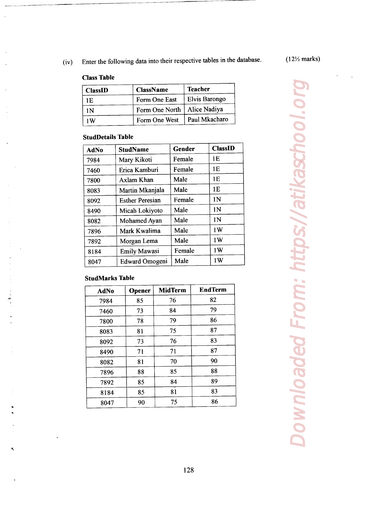# Class Table

|                                      | Enter the following data into their respective tables in the da |        |                |                |  |
|--------------------------------------|-----------------------------------------------------------------|--------|----------------|----------------|--|
|                                      |                                                                 |        |                |                |  |
| <b>Class Table</b><br><b>ClassID</b> | <b>ClassName</b>                                                |        | <b>Teacher</b> |                |  |
| 1E                                   | Form One East                                                   |        | Elvis Barongo  |                |  |
| 1 <sub>N</sub>                       | Form One North                                                  |        | Alice Nadiya   |                |  |
| 1W                                   | Form One West                                                   |        | Paul Mkacharo  |                |  |
| <b>StudDetails Table</b>             |                                                                 |        |                |                |  |
| AdNo                                 | <b>StudName</b>                                                 | Gender |                | <b>ClassID</b> |  |
| 7984                                 | Mary Kikoti                                                     | Female |                | 1E<br>1E       |  |

## StudDetails Table

|                          |             |                           |      |                |                | Enter the following data into their respective tables in the dat |  |
|--------------------------|-------------|---------------------------|------|----------------|----------------|------------------------------------------------------------------|--|
|                          |             |                           |      |                |                |                                                                  |  |
| <b>Class Table</b>       |             |                           |      |                |                |                                                                  |  |
| <b>ClassID</b>           |             | <b>ClassName</b>          |      |                | <b>Teacher</b> |                                                                  |  |
| 1E                       |             | Form One East             |      |                |                | Elvis Barongo                                                    |  |
| 1 <sub>N</sub>           |             | Form One North            |      |                | Alice Nadiya   |                                                                  |  |
| 1W                       |             | Form One West             |      |                | Paul Mkacharo  |                                                                  |  |
| <b>StudDetails Table</b> |             |                           |      |                |                |                                                                  |  |
| <b>AdNo</b>              |             | Gender<br><b>StudName</b> |      |                | <b>ClassID</b> |                                                                  |  |
| 7984                     |             | Mary Kikoti               |      | Female         |                | 1E                                                               |  |
| 7460                     |             | Erica Kamburi             |      | Female         |                | 1E                                                               |  |
| 7800                     |             | Axlam Khan                |      | Male           |                | 1E                                                               |  |
| 8083                     |             | Martin Mkanjala           |      | Male           |                | 1E                                                               |  |
| 8092                     |             | <b>Esther Peresian</b>    |      | Female         |                | 1 <sub>N</sub>                                                   |  |
| 8490                     |             | Micah Lokiyoto            |      | Male           |                | 1 <sub>N</sub>                                                   |  |
| 8082                     |             | Mohamed Ayan              |      | Male           |                | 1 <sub>N</sub>                                                   |  |
| 7896                     |             | Mark Kwalima              |      | Male           |                | 1W                                                               |  |
|                          | Morgan Lema |                           | Male |                | 1W             |                                                                  |  |
| 7892                     |             |                           |      |                |                |                                                                  |  |
| 8184                     |             | <b>Emily Mawasi</b>       |      | Female         |                | 1W                                                               |  |
| 8047                     |             | Edward Omogeni            |      | Male           |                | 1W                                                               |  |
| <b>StudMarks Table</b>   |             |                           |      |                |                |                                                                  |  |
| <b>AdNo</b>              |             | Opener                    |      | <b>MidTerm</b> |                | <b>EndTerm</b>                                                   |  |
| 7984                     |             | 85                        |      | 76             |                | 82                                                               |  |
| 7460                     |             | 73                        |      | 84             |                | 79                                                               |  |
| 7800                     |             | 78                        |      | 79             |                | 86                                                               |  |
| 8083                     |             | 81                        |      | 75             |                | 87                                                               |  |
| 8092                     |             | 73                        |      | 76             |                | 83                                                               |  |
| 8490                     |             | 71                        |      | 71             |                | 87                                                               |  |
| 8082                     |             | 81                        |      | 70             |                | 90                                                               |  |
| 7896                     |             | 88                        |      | 85             |                | 88                                                               |  |
| 7892<br>8184             |             | 85<br>85                  |      | 84<br>81       |                | 89<br>83                                                         |  |

## StudMarks Table

| <b>AdNo</b> | Opener | <b>MidTerm</b> | <b>EndTerm</b> |
|-------------|--------|----------------|----------------|
| 7984        | 85     | 76             | 82             |
| 7460        | 73     | 84             | 79             |
| 7800        | 78     | 79             | 86             |
| 8083        | 81     | 75             | 87             |
| 8092        | 73     | 76             | 83             |
| 8490        | 71     | 71             | 87             |
| 8082        | 81     | 70             | 90             |
| 7896        | 88     | 85             | 88             |
| 7892        | 85     | 84             | 89             |
| 8184        | 85     | 81             | 83             |
| 8047        | 90     | 75             | 86             |

Downloaded From: https://atikaschool.org Downloaded From: https://atikaschool.d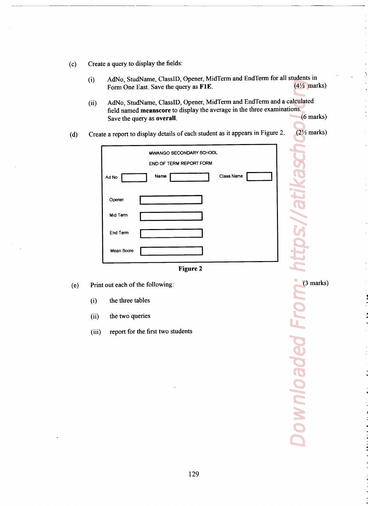- $(c)$ Create a query to display the fields:
	- (i) AdNo, StudName, ClassID, Opener, MidTerm and EndTerm for all students in<br>Form One East Save the query as  $\mathbf{F1E}$ . (4<sup>1</sup>/<sub>2</sub> marks) Form One East. Save the query as F1E.
- (ii) AdNo, StudName, ClassID, Opener, MidTerm and EndTerm and a calculated field named **meanscore** to display the average in the three examinations.<br>Save the query as **overall** (6 marks) Save the query as overall. Example 10 a query to display the fields:<br>
AdNo, StudName, ClassID, Opener, MidTerm and EndTerm for<br>
Form One East. Save the query as F1E.<br>
AdNo, StudName, ClassID, Opener, MidTerm and EndTerm an<br>
field named meanscore to
- (d) Create a report to display details of each student as it appears in Figure 2.  $(2\frac{1}{2})$  marks)



- (6) Print out each of the following: (3 marks)
	- (i) the three tables
	-
	- (iii) report for the first two students

Downloaded From: https://atikaschos. (ii) the two queries<br>
(iii) report for the first two students<br>
The two students<br>
The two students<br>
The two students<br>
The two students<br>
The two students<br>
The Theory of the first two students<br>
The Theory of the first two stu